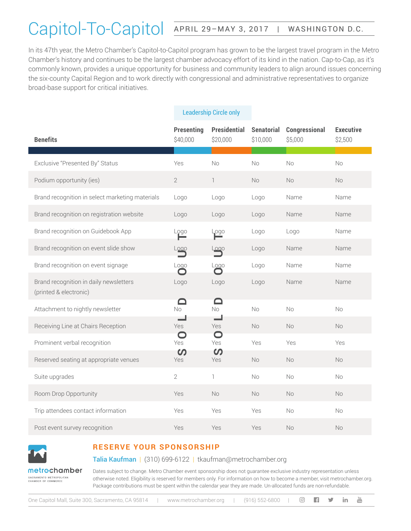## Capitol-To-Capitol APRIL 29-MAY 3, 2017 | WASHINGTON D.C.

In its 47th year, the Metro Chamber's Capitol-to-Capitol program has grown to be the largest travel program in the Metro Chamber's history and continues to be the largest chamber advocacy effort of its kind in the nation. Cap-to-Cap, as it's commonly known, provides a unique opportunity for business and community leaders to align around issues concerning the six-county Capital Region and to work directly with congressional and administrative representatives to organize broad-base support for critical initiatives.

| <b>Benefits</b>                                                  |                                                                                                                                                                                                                                                                                                                                                                                                                                         | <b>Presenting</b><br>\$40,000 | <b>Presidential</b><br>\$20,000 | <b>Senatorial</b><br>\$10,000 | Congressional<br>\$5,000 | <b>Executive</b><br>\$2,500 |  |  |  |
|------------------------------------------------------------------|-----------------------------------------------------------------------------------------------------------------------------------------------------------------------------------------------------------------------------------------------------------------------------------------------------------------------------------------------------------------------------------------------------------------------------------------|-------------------------------|---------------------------------|-------------------------------|--------------------------|-----------------------------|--|--|--|
| Exclusive "Presented By" Status                                  |                                                                                                                                                                                                                                                                                                                                                                                                                                         | Yes                           | No                              | No                            | No                       | <b>No</b>                   |  |  |  |
| Podium opportunity (ies)                                         |                                                                                                                                                                                                                                                                                                                                                                                                                                         | $\overline{2}$                | 1                               | <b>No</b>                     | <b>No</b>                | <b>No</b>                   |  |  |  |
| Brand recognition in select marketing materials                  |                                                                                                                                                                                                                                                                                                                                                                                                                                         | Logo                          | Logo                            | Logo                          | Name                     | Name                        |  |  |  |
| Brand recognition on registration website                        |                                                                                                                                                                                                                                                                                                                                                                                                                                         | Logo                          | Logo                            | Logo                          | Name                     | Name                        |  |  |  |
| Brand recognition on Guidebook App                               |                                                                                                                                                                                                                                                                                                                                                                                                                                         | Logo                          | Logo                            | Logo                          | Logo                     | Name                        |  |  |  |
| Brand recognition on event slide show                            |                                                                                                                                                                                                                                                                                                                                                                                                                                         | Logo                          | Logo                            | Logo                          | Name                     | Name                        |  |  |  |
| Brand recognition on event signage                               |                                                                                                                                                                                                                                                                                                                                                                                                                                         | Logo                          | Logo                            | Logo                          | Name                     | Name                        |  |  |  |
| Brand recognition in daily newsletters<br>(printed & electronic) |                                                                                                                                                                                                                                                                                                                                                                                                                                         | Logo                          | Logo                            | Logo                          | Name                     | Name                        |  |  |  |
| Attachment to nightly newsletter                                 |                                                                                                                                                                                                                                                                                                                                                                                                                                         | $\Box$<br><b>No</b>           | ◘<br><b>No</b>                  | No                            | No                       | No                          |  |  |  |
| Receiving Line at Chairs Reception                               |                                                                                                                                                                                                                                                                                                                                                                                                                                         | Yes                           | Yes                             | No                            | <b>No</b>                | No                          |  |  |  |
| Prominent verbal recognition                                     |                                                                                                                                                                                                                                                                                                                                                                                                                                         | $\Box$<br>Yes                 | $\bullet$<br>Yes                | Yes                           | Yes                      | Yes                         |  |  |  |
| Reserved seating at appropriate venues                           |                                                                                                                                                                                                                                                                                                                                                                                                                                         | $\mathcal{O}$<br>Yes          | $\boldsymbol{\omega}$<br>Yes    | <b>No</b>                     | No                       | No                          |  |  |  |
| Suite upgrades                                                   |                                                                                                                                                                                                                                                                                                                                                                                                                                         | $\overline{2}$                | $\mathbb{1}$                    | <b>No</b>                     | <b>No</b>                | <b>No</b>                   |  |  |  |
| Room Drop Opportunity                                            |                                                                                                                                                                                                                                                                                                                                                                                                                                         | Yes                           | <b>No</b>                       | <b>No</b>                     | <b>No</b>                | <b>No</b>                   |  |  |  |
| Trip attendees contact information                               |                                                                                                                                                                                                                                                                                                                                                                                                                                         | Yes                           | Yes                             | Yes                           | <b>No</b>                | No                          |  |  |  |
| Post event survey recognition                                    |                                                                                                                                                                                                                                                                                                                                                                                                                                         | Yes                           | Yes                             | Yes                           | No.                      | No.                         |  |  |  |
| metrechamber                                                     | <b>RESERVE YOUR SPONSORSHIP</b><br>Talia Kaufman   (310) 699-6122   tkaufman@metrochamber.org<br>Dates subject to change. Metro Chamber event sponsorship does not guarantee exclusive industry representation unless                                                                                                                                                                                                                   |                               |                                 |                               |                          |                             |  |  |  |
| SACRAMENTO METROPOLITAN<br>CHAMBER OF COMMERCE                   | otherwise noted. Eligibility is reserved for members only. For information on how to become a member, visit metrochamber.org<br>Package contributions must be spent within the calendar year they are made. Un-allocated funds are non-refundable.<br>$\frac{Y_{\text{OU}}}{\text{UIII}}$<br>One Capitol Mall, Suite 300, Sacramento, CA 95814<br>www.metrochamber.org<br>$(916) 552 - 6800$<br>$\left[ \circ \right]$<br>in.<br>m<br>У |                               |                                 |                               |                          |                             |  |  |  |

#### Leadership Circle only



### **RESERVE YOUR SPONSORSHIP**